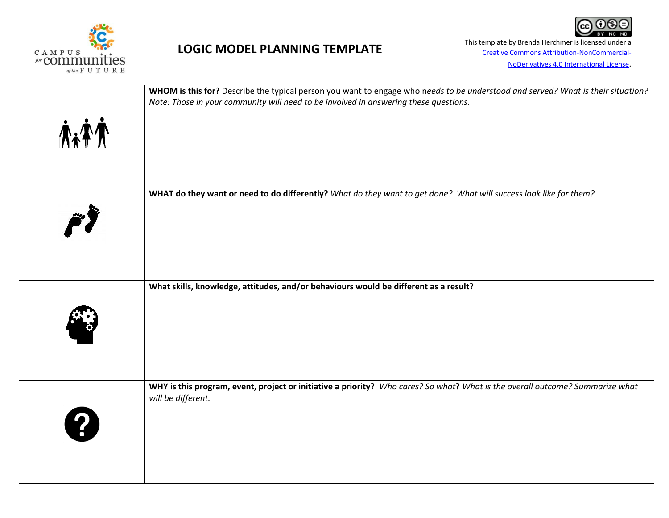

This template by Brenda Herchmer is licensed under a This **Creative Commons Attribution-NonCommercial-**[Creative Commons Attribution-NonCommercial-](http://creativecommons.org/licenses/by-nc-nd/4.0/)[NoDerivatives 4.0 International License](http://creativecommons.org/licenses/by-nc-nd/4.0/).

|             | WHOM is this for? Describe the typical person you want to engage who needs to be understood and served? What is their situation?<br>Note: Those in your community will need to be involved in answering these questions. |  |  |  |  |
|-------------|--------------------------------------------------------------------------------------------------------------------------------------------------------------------------------------------------------------------------|--|--|--|--|
| <b>AxTA</b> |                                                                                                                                                                                                                          |  |  |  |  |
|             | WHAT do they want or need to do differently? What do they want to get done? What will success look like for them?                                                                                                        |  |  |  |  |
|             | What skills, knowledge, attitudes, and/or behaviours would be different as a result?                                                                                                                                     |  |  |  |  |
|             |                                                                                                                                                                                                                          |  |  |  |  |
|             | WHY is this program, event, project or initiative a priority? Who cares? So what? What is the overall outcome? Summarize what<br>will be different.                                                                      |  |  |  |  |